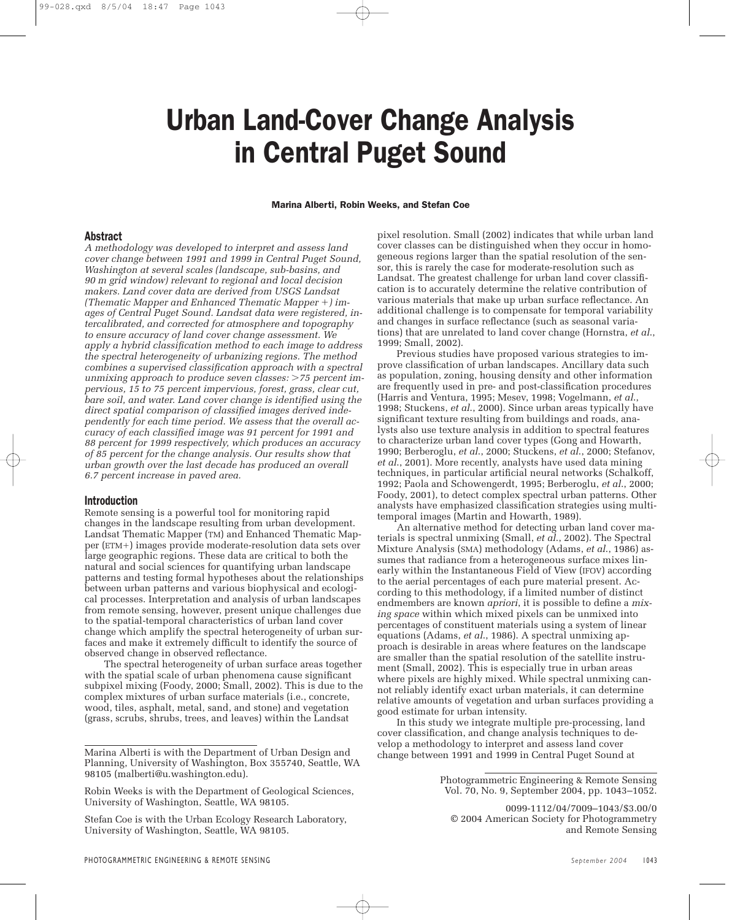# Urban Land-Cover Change Analysis in Central Puget Sound

#### Marina Alberti, Robin Weeks, and Stefan Coe

# Abstract

*A methodology was developed to interpret and assess land cover change between 1991 and 1999 in Central Puget Sound, Washington at several scales (landscape, sub-basins, and 90 m grid window) relevant to regional and local decision makers. Land cover data are derived from USGS Landsat (Thematic Mapper and Enhanced Thematic Mapper ) images of Central Puget Sound. Landsat data were registered, intercalibrated, and corrected for atmosphere and topography to ensure accuracy of land cover change assessment. We apply a hybrid classification method to each image to address the spectral heterogeneity of urbanizing regions. The method combines a supervised classification approach with a spectral unmixing approach to produce seven classes:* -*75 percent impervious, 15 to 75 percent impervious, forest, grass, clear cut, bare soil, and water. Land cover change is identified using the direct spatial comparison of classified images derived independently for each time period. We assess that the overall accuracy of each classified image was 91 percent for 1991 and 88 percent for 1999 respectively, which produces an accuracy of 85 percent for the change analysis. Our results show that urban growth over the last decade has produced an overall 6.7 percent increase in paved area.*

# Introduction

Remote sensing is a powerful tool for monitoring rapid changes in the landscape resulting from urban development. Landsat Thematic Mapper (TM) and Enhanced Thematic Mapper (ETM) images provide moderate-resolution data sets over large geographic regions. These data are critical to both the natural and social sciences for quantifying urban landscape patterns and testing formal hypotheses about the relationships between urban patterns and various biophysical and ecological processes. Interpretation and analysis of urban landscapes from remote sensing, however, present unique challenges due to the spatial-temporal characteristics of urban land cover change which amplify the spectral heterogeneity of urban surfaces and make it extremely difficult to identify the source of observed change in observed reflectance.

The spectral heterogeneity of urban surface areas together with the spatial scale of urban phenomena cause significant subpixel mixing (Foody, 2000; Small, 2002). This is due to the complex mixtures of urban surface materials (i.e., concrete, wood, tiles, asphalt, metal, sand, and stone) and vegetation (grass, scrubs, shrubs, trees, and leaves) within the Landsat

pixel resolution. Small (2002) indicates that while urban land cover classes can be distinguished when they occur in homogeneous regions larger than the spatial resolution of the sensor, this is rarely the case for moderate-resolution such as Landsat. The greatest challenge for urban land cover classification is to accurately determine the relative contribution of various materials that make up urban surface reflectance. An additional challenge is to compensate for temporal variability and changes in surface reflectance (such as seasonal variations) that are unrelated to land cover change (Hornstra, *et al*., 1999; Small, 2002).

Previous studies have proposed various strategies to improve classification of urban landscapes. Ancillary data such as population, zoning, housing density and other information are frequently used in pre- and post-classification procedures (Harris and Ventura, 1995; Mesev, 1998; Vogelmann, *et al*., 1998; Stuckens, *et al*., 2000). Since urban areas typically have significant texture resulting from buildings and roads, analysts also use texture analysis in addition to spectral features to characterize urban land cover types (Gong and Howarth, 1990; Berberoglu, *et al*., 2000; Stuckens, *et al*., 2000; Stefanov, *et al*., 2001). More recently, analysts have used data mining techniques, in particular artificial neural networks (Schalkoff, 1992; Paola and Schowengerdt, 1995; Berberoglu, *et al*., 2000; Foody, 2001), to detect complex spectral urban patterns. Other analysts have emphasized classification strategies using multitemporal images (Martin and Howarth, 1989).

An alternative method for detecting urban land cover materials is spectral unmixing (Small, *et al*., 2002). The Spectral Mixture Analysis (SMA) methodology (Adams, *et al*., 1986) assumes that radiance from a heterogeneous surface mixes linearly within the Instantaneous Field of View (IFOV) according to the aerial percentages of each pure material present. According to this methodology, if a limited number of distinct endmembers are known *apriori*, it is possible to define a *mixing space* within which mixed pixels can be unmixed into percentages of constituent materials using a system of linear equations (Adams, *et al*., 1986). A spectral unmixing approach is desirable in areas where features on the landscape are smaller than the spatial resolution of the satellite instrument (Small, 2002). This is especially true in urban areas where pixels are highly mixed. While spectral unmixing cannot reliably identify exact urban materials, it can determine relative amounts of vegetation and urban surfaces providing a good estimate for urban intensity.

In this study we integrate multiple pre-processing, land cover classification, and change analysis techniques to develop a methodology to interpret and assess land cover change between 1991 and 1999 in Central Puget Sound at

0099-1112/04/7009–1043/\$3.00/0 © 2004 American Society for Photogrammetry and Remote Sensing

Marina Alberti is with the Department of Urban Design and Planning, University of Washington, Box 355740, Seattle, WA 98105 (malberti@u.washington.edu).

Robin Weeks is with the Department of Geological Sciences, University of Washington, Seattle, WA 98105.

Stefan Coe is with the Urban Ecology Research Laboratory, University of Washington, Seattle, WA 98105.

Photogrammetric Engineering & Remote Sensing Vol. 70, No. 9, September 2004, pp. 1043–1052.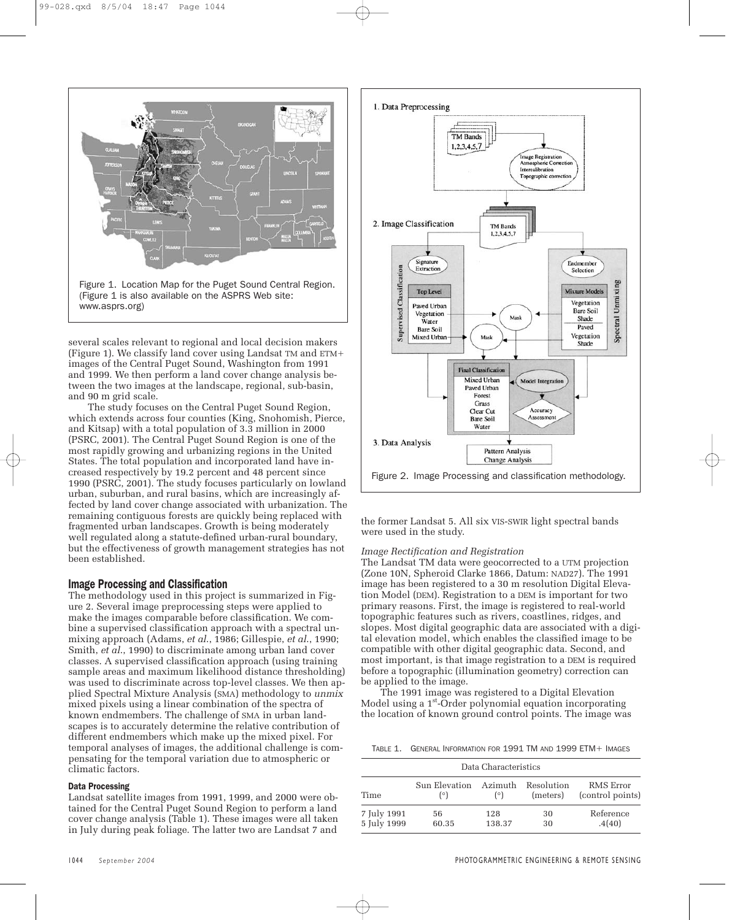

several scales relevant to regional and local decision makers (Figure 1). We classify land cover using Landsat TM and ETM images of the Central Puget Sound, Washington from 1991 and 1999. We then perform a land cover change analysis between the two images at the landscape, regional, sub-basin, and 90 m grid scale.

The study focuses on the Central Puget Sound Region, which extends across four counties (King, Snohomish, Pierce, and Kitsap) with a total population of 3.3 million in 2000 (PSRC, 2001). The Central Puget Sound Region is one of the most rapidly growing and urbanizing regions in the United States. The total population and incorporated land have increased respectively by 19.2 percent and 48 percent since 1990 (PSRC, 2001). The study focuses particularly on lowland urban, suburban, and rural basins, which are increasingly affected by land cover change associated with urbanization. The remaining contiguous forests are quickly being replaced with fragmented urban landscapes. Growth is being moderately well regulated along a statute-defined urban-rural boundary, but the effectiveness of growth management strategies has not been established.

# Image Processing and Classification

The methodology used in this project is summarized in Figure 2. Several image preprocessing steps were applied to make the images comparable before classification. We combine a supervised classification approach with a spectral unmixing approach (Adams, *et al*., 1986; Gillespie, *et al*., 1990; Smith, *et al*., 1990) to discriminate among urban land cover classes. A supervised classification approach (using training sample areas and maximum likelihood distance thresholding) was used to discriminate across top-level classes. We then applied Spectral Mixture Analysis (SMA) methodology to *unmix* mixed pixels using a linear combination of the spectra of known endmembers. The challenge of SMA in urban landscapes is to accurately determine the relative contribution of different endmembers which make up the mixed pixel. For temporal analyses of images, the additional challenge is compensating for the temporal variation due to atmospheric or climatic factors.

#### Data Processing

Landsat satellite images from 1991, 1999, and 2000 were obtained for the Central Puget Sound Region to perform a land cover change analysis (Table 1). These images were all taken in July during peak foliage. The latter two are Landsat 7 and



the former Landsat 5. All six VIS-SWIR light spectral bands were used in the study.

#### *Image Rectification and Registration*

The Landsat TM data were geocorrected to a UTM projection (Zone 10N, Spheroid Clarke 1866, Datum: NAD27). The 1991 image has been registered to a 30 m resolution Digital Elevation Model (DEM). Registration to a DEM is important for two primary reasons. First, the image is registered to real-world topographic features such as rivers, coastlines, ridges, and slopes. Most digital geographic data are associated with a digital elevation model, which enables the classified image to be compatible with other digital geographic data. Second, and most important, is that image registration to a DEM is required before a topographic (illumination geometry) correction can be applied to the image.

The 1991 image was registered to a Digital Elevation Model using a 1<sup>st</sup>-Order polynomial equation incorporating the location of known ground control points. The image was

TABLE 1. GENERAL INFORMATION FOR 1991 TM AND 1999 ETM + IMAGES

| Data Characteristics       |                                                            |                       |          |                               |  |  |  |  |  |
|----------------------------|------------------------------------------------------------|-----------------------|----------|-------------------------------|--|--|--|--|--|
| Time                       | Sun Elevation Azimuth Resolution<br>$\left( \circ \right)$ | $\lceil \circ \rceil$ | (meters) | RMS Error<br>(control points) |  |  |  |  |  |
| 7 July 1991<br>5 July 1999 | 56<br>60.35                                                | 128<br>138.37         | 30<br>30 | Reference<br>.4(40)           |  |  |  |  |  |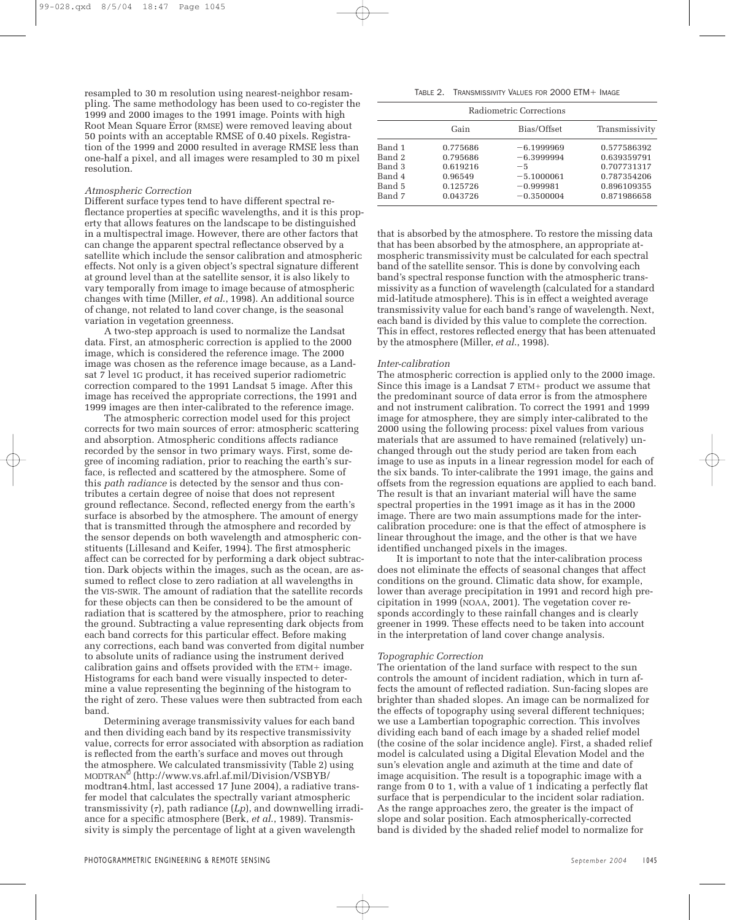resampled to 30 m resolution using nearest-neighbor resampling. The same methodology has been used to co-register the 1999 and 2000 images to the 1991 image. Points with high Root Mean Square Error (RMSE) were removed leaving about 50 points with an acceptable RMSE of 0.40 pixels. Registration of the 1999 and 2000 resulted in average RMSE less than one-half a pixel, and all images were resampled to 30 m pixel resolution.

#### *Atmospheric Correction*

Different surface types tend to have different spectral reflectance properties at specific wavelengths, and it is this property that allows features on the landscape to be distinguished in a multispectral image. However, there are other factors that can change the apparent spectral reflectance observed by a satellite which include the sensor calibration and atmospheric effects. Not only is a given object's spectral signature different at ground level than at the satellite sensor, it is also likely to vary temporally from image to image because of atmospheric changes with time (Miller, *et al*., 1998). An additional source of change, not related to land cover change, is the seasonal variation in vegetation greenness.

A two-step approach is used to normalize the Landsat data. First, an atmospheric correction is applied to the 2000 image, which is considered the reference image. The 2000 image was chosen as the reference image because, as a Landsat 7 level 1G product, it has received superior radiometric correction compared to the 1991 Landsat 5 image. After this image has received the appropriate corrections, the 1991 and 1999 images are then inter-calibrated to the reference image.

The atmospheric correction model used for this project corrects for two main sources of error: atmospheric scattering and absorption. Atmospheric conditions affects radiance recorded by the sensor in two primary ways. First, some degree of incoming radiation, prior to reaching the earth's surface, is reflected and scattered by the atmosphere. Some of this *path radiance* is detected by the sensor and thus contributes a certain degree of noise that does not represent ground reflectance. Second, reflected energy from the earth's surface is absorbed by the atmosphere. The amount of energy that is transmitted through the atmosphere and recorded by the sensor depends on both wavelength and atmospheric constituents (Lillesand and Keifer, 1994). The first atmospheric affect can be corrected for by performing a dark object subtraction. Dark objects within the images, such as the ocean, are assumed to reflect close to zero radiation at all wavelengths in the VIS-SWIR. The amount of radiation that the satellite records for these objects can then be considered to be the amount of radiation that is scattered by the atmosphere, prior to reaching the ground. Subtracting a value representing dark objects from each band corrects for this particular effect. Before making any corrections, each band was converted from digital number to absolute units of radiance using the instrument derived calibration gains and offsets provided with the  $ETM + image$ . Histograms for each band were visually inspected to determine a value representing the beginning of the histogram to the right of zero. These values were then subtracted from each band.

Determining average transmissivity values for each band and then dividing each band by its respective transmissivity value, corrects for error associated with absorption as radiation is reflected from the earth's surface and moves out through the atmosphere. We calculated transmissivity (Table 2) using MODTRAN© (http://www.vs.afrl.af.mil/Division/VSBYB/ modtran4.html, last accessed 17 June 2004), a radiative transfer model that calculates the spectrally variant atmospheric transmissivity  $(\tau)$ , path radiance  $(Lp)$ , and downwelling irradiance for a specific atmosphere (Berk, *et al*., 1989). Transmissivity is simply the percentage of light at a given wavelength

TABLE 2. TRANSMISSIVITY VALUES FOR 2000 ETM + IMAGE

| Radiometric Corrections                        |                                                         |                                                                     |                                                                         |  |  |  |  |  |  |
|------------------------------------------------|---------------------------------------------------------|---------------------------------------------------------------------|-------------------------------------------------------------------------|--|--|--|--|--|--|
|                                                | Gain                                                    | Bias/Offset                                                         | Transmissivity                                                          |  |  |  |  |  |  |
| Band 1<br>Band 2<br>Band 3<br>Band 4<br>Band 5 | 0.775686<br>0.795686<br>0.619216<br>0.96549<br>0.125726 | $-6.1999969$<br>$-6.3999994$<br>$-5$<br>$-5.1000061$<br>$-0.999981$ | 0.577586392<br>0.639359791<br>0.707731317<br>0.787354206<br>0.896109355 |  |  |  |  |  |  |
| Band 7                                         | 0.043726                                                | $-0.3500004$                                                        | 0.871986658                                                             |  |  |  |  |  |  |

that is absorbed by the atmosphere. To restore the missing data that has been absorbed by the atmosphere, an appropriate atmospheric transmissivity must be calculated for each spectral band of the satellite sensor. This is done by convolving each band's spectral response function with the atmospheric transmissivity as a function of wavelength (calculated for a standard mid-latitude atmosphere). This is in effect a weighted average transmissivity value for each band's range of wavelength. Next, each band is divided by this value to complete the correction. This in effect, restores reflected energy that has been attenuated by the atmosphere (Miller, *et al*., 1998).

#### *Inter-calibration*

The atmospheric correction is applied only to the 2000 image. Since this image is a Landsat 7 ETM + product we assume that the predominant source of data error is from the atmosphere and not instrument calibration. To correct the 1991 and 1999 image for atmosphere, they are simply inter-calibrated to the 2000 using the following process: pixel values from various materials that are assumed to have remained (relatively) unchanged through out the study period are taken from each image to use as inputs in a linear regression model for each of the six bands. To inter-calibrate the 1991 image, the gains and offsets from the regression equations are applied to each band. The result is that an invariant material will have the same spectral properties in the 1991 image as it has in the 2000 image. There are two main assumptions made for the intercalibration procedure: one is that the effect of atmosphere is linear throughout the image, and the other is that we have identified unchanged pixels in the images.

It is important to note that the inter-calibration process does not eliminate the effects of seasonal changes that affect conditions on the ground. Climatic data show, for example, lower than average precipitation in 1991 and record high precipitation in 1999 (NOAA, 2001). The vegetation cover responds accordingly to these rainfall changes and is clearly greener in 1999. These effects need to be taken into account in the interpretation of land cover change analysis.

#### *Topographic Correction*

The orientation of the land surface with respect to the sun controls the amount of incident radiation, which in turn affects the amount of reflected radiation. Sun-facing slopes are brighter than shaded slopes. An image can be normalized for the effects of topography using several different techniques; we use a Lambertian topographic correction. This involves dividing each band of each image by a shaded relief model (the cosine of the solar incidence angle). First, a shaded relief model is calculated using a Digital Elevation Model and the sun's elevation angle and azimuth at the time and date of image acquisition. The result is a topographic image with a range from 0 to 1, with a value of 1 indicating a perfectly flat surface that is perpendicular to the incident solar radiation. As the range approaches zero, the greater is the impact of slope and solar position. Each atmospherically-corrected band is divided by the shaded relief model to normalize for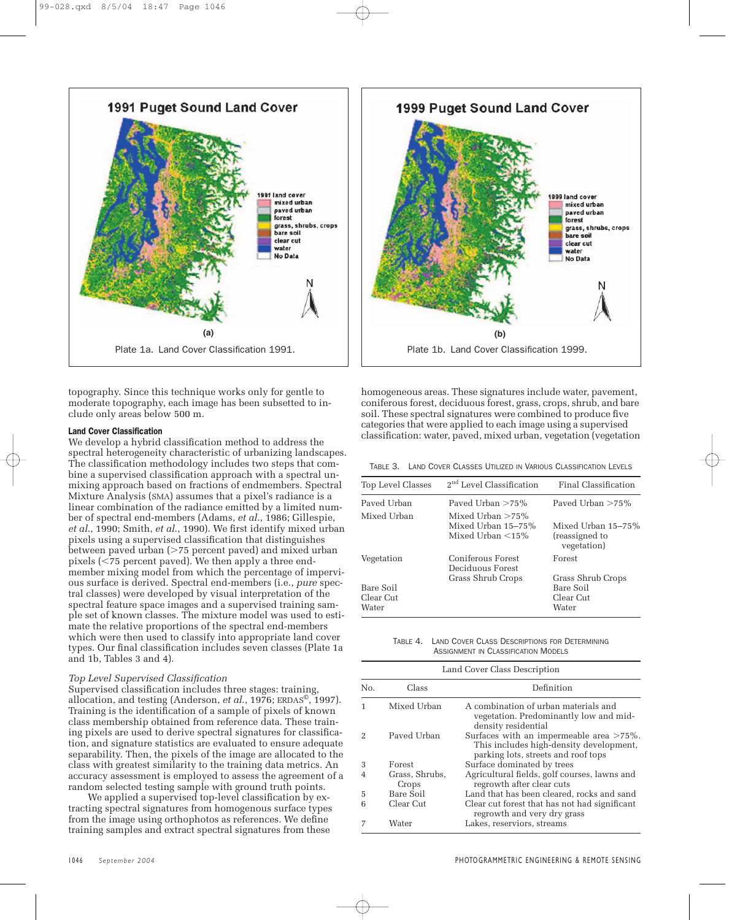

topography. Since this technique works only for gentle to moderate topography, each image has been subsetted to include only areas below 500 m.

#### Land Cover Classification

We develop a hybrid classification method to address the spectral heterogeneity characteristic of urbanizing landscapes. The classification methodology includes two steps that combine a supervised classification approach with a spectral unmixing approach based on fractions of endmembers. Spectral Mixture Analysis (SMA) assumes that a pixel's radiance is a linear combination of the radiance emitted by a limited number of spectral end-members (Adams, *et al*., 1986; Gillespie, *et al*., 1990; Smith, *et al*., 1990). We first identify mixed urban pixels using a supervised classification that distinguishes between paved urban (>75 percent paved) and mixed urban pixels  $\left($  <75 percent paved). We then apply a three endmember mixing model from which the percentage of impervious surface is derived. Spectral end-members (i.e., *pure* spectral classes) were developed by visual interpretation of the spectral feature space images and a supervised training sample set of known classes. The mixture model was used to estimate the relative proportions of the spectral end-members which were then used to classify into appropriate land cover types. Our final classification includes seven classes (Plate 1a and 1b, Tables 3 and 4).

#### *Top Level Supervised Classification*

Supervised classification includes three stages: training, allocation, and testing (Anderson, *et al*., 1976; ERDAS©, 1997). Training is the identification of a sample of pixels of known class membership obtained from reference data. These training pixels are used to derive spectral signatures for classification, and signature statistics are evaluated to ensure adequate separability. Then, the pixels of the image are allocated to the class with greatest similarity to the training data metrics. An accuracy assessment is employed to assess the agreement of a random selected testing sample with ground truth points.

We applied a supervised top-level classification by extracting spectral signatures from homogenous surface types from the image using orthophotos as references. We define training samples and extract spectral signatures from these



homogeneous areas. These signatures include water, pavement, coniferous forest, deciduous forest, grass, crops, shrub, and bare soil. These spectral signatures were combined to produce five categories that were applied to each image using a supervised classification: water, paved, mixed urban, vegetation (vegetation

TABLE 3. LAND COVER CLASSES UTILIZED IN VARIOUS CLASSIFICATION LEVELS

| Top Level Classes               | 2 <sup>nd</sup> Level Classification                                 | Final Classification                                |
|---------------------------------|----------------------------------------------------------------------|-----------------------------------------------------|
| Paved Urban                     | Paved Urban $>75\%$                                                  | Paved Urban $>75\%$                                 |
| Mixed Urban                     | Mixed Urban $>75\%$<br>Mixed Urban 15-75%<br>Mixed Urban $\leq 15\%$ | Mixed Urban 15–75%<br>(reassigned to<br>vegetation) |
| Vegetation                      | Coniferous Forest<br>Deciduous Forest<br>Grass Shrub Crops           | Forest<br>Grass Shrub Crops                         |
| Bare Soil<br>Clear Cut<br>Water |                                                                      | Bare Soil<br>Clear Cut<br>Water                     |

TABLE 4. LAND COVER CLASS DESCRIPTIONS FOR DETERMINING ASSIGNMENT IN CLASSIFICATION MODELS

| Land Cover Class Description |
|------------------------------|
|------------------------------|

| N <sub>0</sub> . | Class                   | Definition                                                                                                                    |
|------------------|-------------------------|-------------------------------------------------------------------------------------------------------------------------------|
|                  | Mixed Urban             | A combination of urban materials and<br>vegetation. Predominantly low and mid-<br>density residential                         |
| 2                | Paved Urban             | Surfaces with an impermeable area $>75\%$ .<br>This includes high-density development,<br>parking lots, streets and roof tops |
| З                | Forest                  | Surface dominated by trees                                                                                                    |
|                  | Grass, Shrubs,<br>Crops | Agricultural fields, golf courses, lawns and<br>regrowth after clear cuts                                                     |
| 5                | Bare Soil               | Land that has been cleared, rocks and sand                                                                                    |
| 6                | Clear Cut               | Clear cut forest that has not had significant<br>regrowth and very dry grass                                                  |
|                  | Water                   | Lakes, reserviors, streams                                                                                                    |
|                  |                         |                                                                                                                               |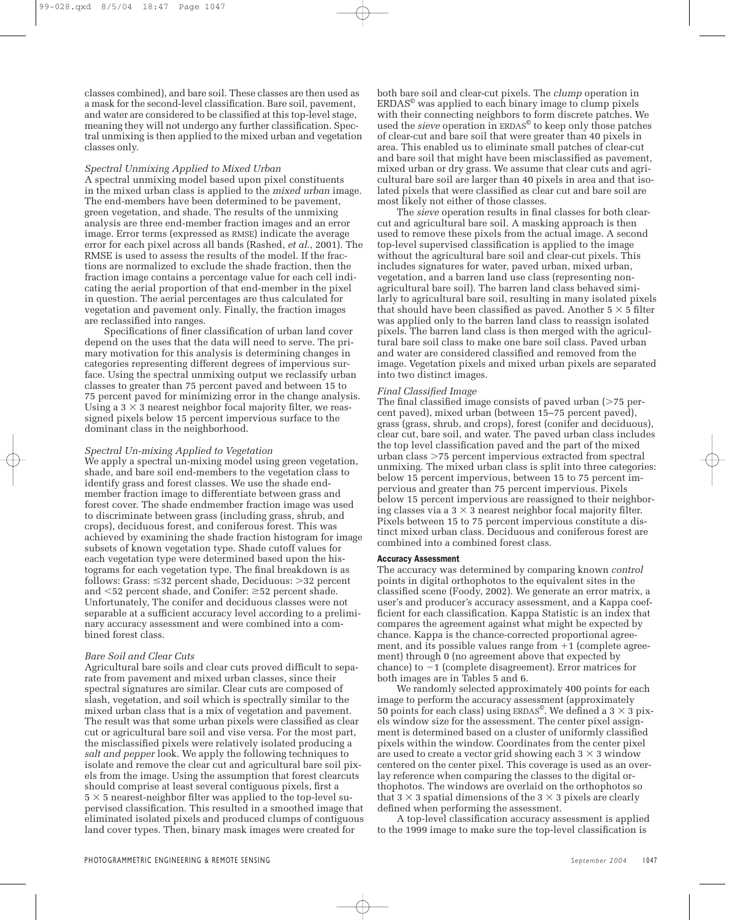classes combined), and bare soil. These classes are then used as a mask for the second-level classification. Bare soil, pavement, and water are considered to be classified at this top-level stage, meaning they will not undergo any further classification. Spectral unmixing is then applied to the mixed urban and vegetation classes only.

#### *Spectral Unmixing Applied to Mixed Urban*

A spectral unmixing model based upon pixel constituents in the mixed urban class is applied to the *mixed urban* image. The end-members have been determined to be pavement, green vegetation, and shade. The results of the unmixing analysis are three end-member fraction images and an error image. Error terms (expressed as RMSE) indicate the average error for each pixel across all bands (Rashed, *et al*., 2001). The RMSE is used to assess the results of the model. If the fractions are normalized to exclude the shade fraction, then the fraction image contains a percentage value for each cell indicating the aerial proportion of that end-member in the pixel in question. The aerial percentages are thus calculated for vegetation and pavement only. Finally, the fraction images are reclassified into ranges.

Specifications of finer classification of urban land cover depend on the uses that the data will need to serve. The primary motivation for this analysis is determining changes in categories representing different degrees of impervious surface. Using the spectral unmixing output we reclassify urban classes to greater than 75 percent paved and between 15 to 75 percent paved for minimizing error in the change analysis. Using a  $3 \times 3$  nearest neighbor focal majority filter, we reassigned pixels below 15 percent impervious surface to the dominant class in the neighborhood.

## *Spectral Un-mixing Applied to Vegetation*

We apply a spectral un-mixing model using green vegetation, shade, and bare soil end-members to the vegetation class to identify grass and forest classes. We use the shade endmember fraction image to differentiate between grass and forest cover. The shade endmember fraction image was used to discriminate between grass (including grass, shrub, and crops), deciduous forest, and coniferous forest. This was achieved by examining the shade fraction histogram for image subsets of known vegetation type. Shade cutoff values for each vegetation type were determined based upon the histograms for each vegetation type. The final breakdown is as follows: Grass: 32 percent shade, Deciduous: -32 percent and  $\leq$  52 percent shade, and Conifer:  $\geq$  52 percent shade. Unfortunately, The conifer and deciduous classes were not separable at a sufficient accuracy level according to a preliminary accuracy assessment and were combined into a combined forest class.

# *Bare Soil and Clear Cuts*

Agricultural bare soils and clear cuts proved difficult to separate from pavement and mixed urban classes, since their spectral signatures are similar. Clear cuts are composed of slash, vegetation, and soil which is spectrally similar to the mixed urban class that is a mix of vegetation and pavement. The result was that some urban pixels were classified as clear cut or agricultural bare soil and vise versa. For the most part, the misclassified pixels were relatively isolated producing a *salt and pepper* look. We apply the following techniques to isolate and remove the clear cut and agricultural bare soil pixels from the image. Using the assumption that forest clearcuts should comprise at least several contiguous pixels, first a  $5 \times 5$  nearest-neighbor filter was applied to the top-level supervised classification. This resulted in a smoothed image that eliminated isolated pixels and produced clumps of contiguous land cover types. Then, binary mask images were created for

both bare soil and clear-cut pixels. The *clump* operation in  $ERDAS<sup>°</sup>$  was applied to each binary image to clump pixels with their connecting neighbors to form discrete patches. We used the *sieve* operation in ERDAS© to keep only those patches of clear-cut and bare soil that were greater than 40 pixels in area. This enabled us to eliminate small patches of clear-cut and bare soil that might have been misclassified as pavement, mixed urban or dry grass. We assume that clear cuts and agricultural bare soil are larger than 40 pixels in area and that isolated pixels that were classified as clear cut and bare soil are most likely not either of those classes.

The *sieve* operation results in final classes for both clearcut and agricultural bare soil. A masking approach is then used to remove these pixels from the actual image. A second top-level supervised classification is applied to the image without the agricultural bare soil and clear-cut pixels. This includes signatures for water, paved urban, mixed urban, vegetation, and a barren land use class (representing nonagricultural bare soil). The barren land class behaved similarly to agricultural bare soil, resulting in many isolated pixels that should have been classified as paved. Another  $5 \times 5$  filter was applied only to the barren land class to reassign isolated pixels. The barren land class is then merged with the agricultural bare soil class to make one bare soil class. Paved urban and water are considered classified and removed from the image. Vegetation pixels and mixed urban pixels are separated into two distinct images.

#### *Final Classified Image*

The final classified image consists of paved urban ( $>$ 75 percent paved), mixed urban (between 15–75 percent paved), grass (grass, shrub, and crops), forest (conifer and deciduous), clear cut, bare soil, and water. The paved urban class includes the top level classification paved and the part of the mixed urban class -75 percent impervious extracted from spectral unmixing. The mixed urban class is split into three categories: below 15 percent impervious, between 15 to 75 percent impervious and greater than 75 percent impervious. Pixels below 15 percent impervious are reassigned to their neighboring classes via a  $3 \times 3$  nearest neighbor focal majority filter. Pixels between 15 to 75 percent impervious constitute a distinct mixed urban class. Deciduous and coniferous forest are combined into a combined forest class.

#### Accuracy Assessment

The accuracy was determined by comparing known *control* points in digital orthophotos to the equivalent sites in the classified scene (Foody, 2002). We generate an error matrix, a user's and producer's accuracy assessment, and a Kappa coefficient for each classification. Kappa Statistic is an index that compares the agreement against what might be expected by chance. Kappa is the chance-corrected proportional agreement, and its possible values range from  $+1$  (complete agreement) through 0 (no agreement above that expected by chance) to  $-1$  (complete disagreement). Error matrices for both images are in Tables 5 and 6.

We randomly selected approximately 400 points for each image to perform the accuracy assessment (approximately 50 points for each class) using ERDAS<sup>®</sup>. We defined a  $3 \times 3$  pixels window size for the assessment. The center pixel assignment is determined based on a cluster of uniformly classified pixels within the window. Coordinates from the center pixel are used to create a vector grid showing each  $3 \times 3$  window centered on the center pixel. This coverage is used as an overlay reference when comparing the classes to the digital orthophotos. The windows are overlaid on the orthophotos so that  $3 \times 3$  spatial dimensions of the  $3 \times 3$  pixels are clearly defined when performing the assessment.

A top-level classification accuracy assessment is applied to the 1999 image to make sure the top-level classification is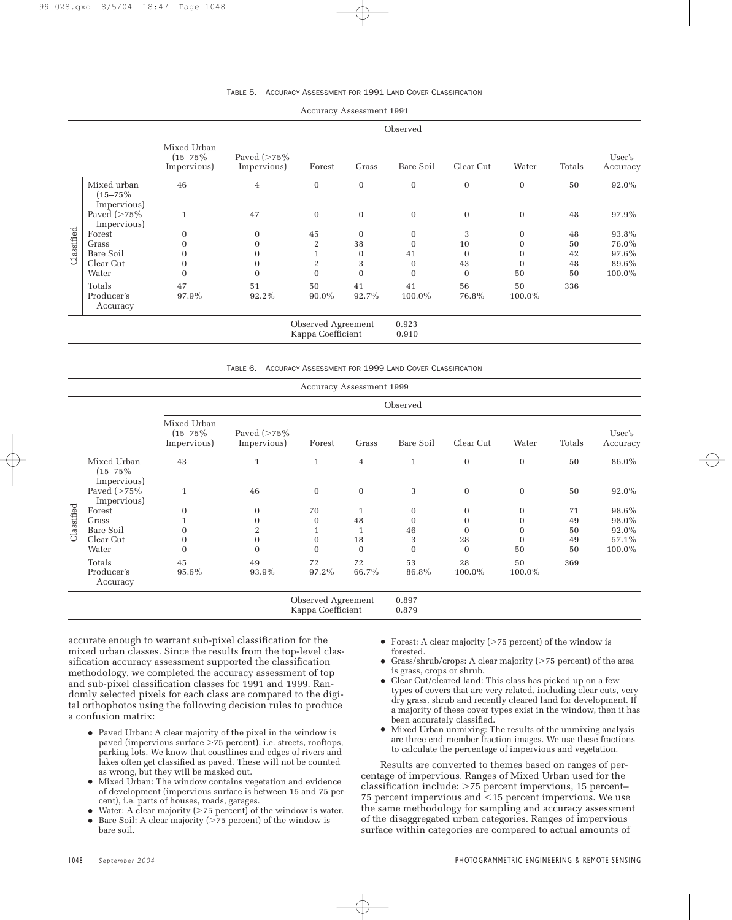| TABLE 5. ACCURACY ASSESSMENT FOR 1991 LAND COVER CLASSIFICATION |  |
|-----------------------------------------------------------------|--|
|-----------------------------------------------------------------|--|

|            |                                             |                                             |                               | Accuracy Assessment 1991                |              |                |                |                |        |                    |  |  |
|------------|---------------------------------------------|---------------------------------------------|-------------------------------|-----------------------------------------|--------------|----------------|----------------|----------------|--------|--------------------|--|--|
|            |                                             |                                             | Observed                      |                                         |              |                |                |                |        |                    |  |  |
|            |                                             | Mixed Urban<br>$(15 - 75\%)$<br>Impervious) | Paved $($ >75%<br>Impervious) | Forest                                  | Grass        | Bare Soil      | Clear Cut      | Water          | Totals | User's<br>Accuracy |  |  |
|            | Mixed urban<br>$(15 - 75\%)$<br>Impervious) | 46                                          | $\overline{4}$                | $\bf{0}$                                | $\mathbf{0}$ | $\mathbf{0}$   | $\mathbf{0}$   | $\mathbf{0}$   | 50     | 92.0%              |  |  |
|            | Paved $($ >75%<br>Impervious)               | $\mathbf{1}$                                | 47                            | $\bf{0}$                                | $\mathbf{0}$ | $\mathbf{0}$   | $\bf{0}$       | $\overline{0}$ | 48     | 97.9%              |  |  |
| Classified | Forest                                      | $\mathbf{0}$                                | $\bf{0}$                      | 45                                      | $\mathbf{0}$ | $\bf{0}$       | 3              | $\overline{0}$ | 48     | 93.8%              |  |  |
|            | Grass                                       | $\mathbf{0}$                                | $\bf{0}$                      | $\overline{2}$                          | 38           | $\Omega$       | 10             | $\mathbf{0}$   | 50     | 76.0%              |  |  |
|            | Bare Soil                                   | $\Omega$                                    | $\bf{0}$                      |                                         | $\mathbf{0}$ | 41             | $\overline{0}$ | 0              | 42     | 97.6%              |  |  |
|            | Clear Cut                                   | $\mathbf{0}$                                | $\bf{0}$                      | $\boldsymbol{2}$                        | 3            | $\mathbf{0}$   | 43             | 0              | 48     | 89.6%              |  |  |
|            | Water                                       | $\Omega$                                    | $\mathbf{0}$                  | $\mathbf{0}$                            | $\mathbf{0}$ | $\Omega$       | $\overline{0}$ | 50             | 50     | 100.0%             |  |  |
|            | Totals<br>Producer's<br>Accuracy            | 47<br>97.9%                                 | 51<br>92.2%                   | 50<br>$90.0\%$                          | 41<br>92.7%  | 41<br>100.0%   | 56<br>76.8%    | 50<br>100.0%   | 336    |                    |  |  |
|            |                                             |                                             |                               | Observed Agreement<br>Kappa Coefficient |              | 0.923<br>0.910 |                |                |        |                    |  |  |

|  |  |  |  |  |  | TABLE 6. ACCURACY ASSESSMENT FOR 1999 LAND COVER CLASSIFICATION |
|--|--|--|--|--|--|-----------------------------------------------------------------|
|--|--|--|--|--|--|-----------------------------------------------------------------|

|            |                                             |                                             |                               | Accuracy Assessment 1999                |                |                |                  |              |        |                    |  |  |
|------------|---------------------------------------------|---------------------------------------------|-------------------------------|-----------------------------------------|----------------|----------------|------------------|--------------|--------|--------------------|--|--|
|            |                                             |                                             | Observed                      |                                         |                |                |                  |              |        |                    |  |  |
|            |                                             | Mixed Urban<br>$(15 - 75\%)$<br>Impervious) | Paved $($ >75%<br>Impervious) | Forest                                  | Grass          | Bare Soil      | Clear Cut        | Water        | Totals | User's<br>Accuracy |  |  |
|            | Mixed Urban<br>$(15 - 75\%)$<br>Impervious) | 43                                          | $\mathbf{1}$                  | $\mathbf{1}$                            | $\overline{4}$ | $\mathbf{1}$   | $\boldsymbol{0}$ | $\bf{0}$     | 50     | 86.0%              |  |  |
|            | Paved $($ >75%<br>Impervious)               | $\mathbf{1}$                                | 46                            | $\mathbf{0}$                            | $\mathbf{0}$   | 3              | $\mathbf{0}$     | $\mathbf{0}$ | 50     | 92.0%              |  |  |
| Classified | Forest                                      | $\mathbf{0}$                                | $\bf{0}$                      | 70                                      | $\mathbf{1}$   | $\mathbf{0}$   | $\mathbf{0}$     | $\mathbf{0}$ | 71     | 98.6%              |  |  |
|            | Grass                                       |                                             | $\bf{0}$                      | $\mathbf{0}$                            | 48             | $\Omega$       | $\bf{0}$         | $\mathbf{0}$ | 49     | 98.0%              |  |  |
|            | Bare Soil                                   | $\mathbf{0}$                                | $\,2$                         |                                         | 1              | 46             | $\overline{0}$   | $\bf{0}$     | 50     | 92.0%              |  |  |
|            | Clear Cut                                   | $\mathbf{0}$                                | $\boldsymbol{0}$              | $\bf{0}$                                | 18             | 3              | 28               | $\mathbf{0}$ | 49     | 57.1%              |  |  |
|            | Water                                       | $\mathbf{0}$                                | $\boldsymbol{0}$              | $\bf{0}$                                | $\bf{0}$       | $\mathbf{0}$   | $\bf{0}$         | 50           | 50     | 100.0%             |  |  |
|            | Totals<br>Producer's<br>Accuracy            | 45<br>95.6%                                 | 49<br>93.9%                   | 72<br>97.2%                             | 72<br>66.7%    | 53<br>86.8%    | 28<br>100.0%     | 50<br>100.0% | 369    |                    |  |  |
|            |                                             |                                             |                               | Observed Agreement<br>Kappa Coefficient |                | 0.897<br>0.879 |                  |              |        |                    |  |  |

accurate enough to warrant sub-pixel classification for the mixed urban classes. Since the results from the top-level classification accuracy assessment supported the classification methodology, we completed the accuracy assessment of top and sub-pixel classification classes for 1991 and 1999. Randomly selected pixels for each class are compared to the digital orthophotos using the following decision rules to produce a confusion matrix:

- Paved Urban: A clear majority of the pixel in the window is paved (impervious surface >75 percent), i.e. streets, rooftops, parking lots. We know that coastlines and edges of rivers and lakes often get classified as paved. These will not be counted as wrong, but they will be masked out.
- Mixed Urban: The window contains vegetation and evidence of development (impervious surface is between 15 and 75 percent), i.e. parts of houses, roads, garages.
- Water: A clear majority  $($  > 75 percent) of the window is water. • Bare Soil: A clear majority  $($  > 75 percent) of the window is bare soil.
- Forest: A clear majority ( $>75$  percent) of the window is forested.
- $\bullet$  Grass/shrub/crops: A clear majority (>75 percent) of the area is grass, crops or shrub.
- Clear Cut/cleared land: This class has picked up on a few types of covers that are very related, including clear cuts, very dry grass, shrub and recently cleared land for development. If a majority of these cover types exist in the window, then it has been accurately classified.
- Mixed Urban unmixing: The results of the unmixing analysis are three end-member fraction images. We use these fractions to calculate the percentage of impervious and vegetation.

Results are converted to themes based on ranges of percentage of impervious. Ranges of Mixed Urban used for the classification include: -75 percent impervious, 15 percent– 75 percent impervious and  $\leq$  15 percent impervious. We use the same methodology for sampling and accuracy assessment of the disaggregated urban categories. Ranges of impervious surface within categories are compared to actual amounts of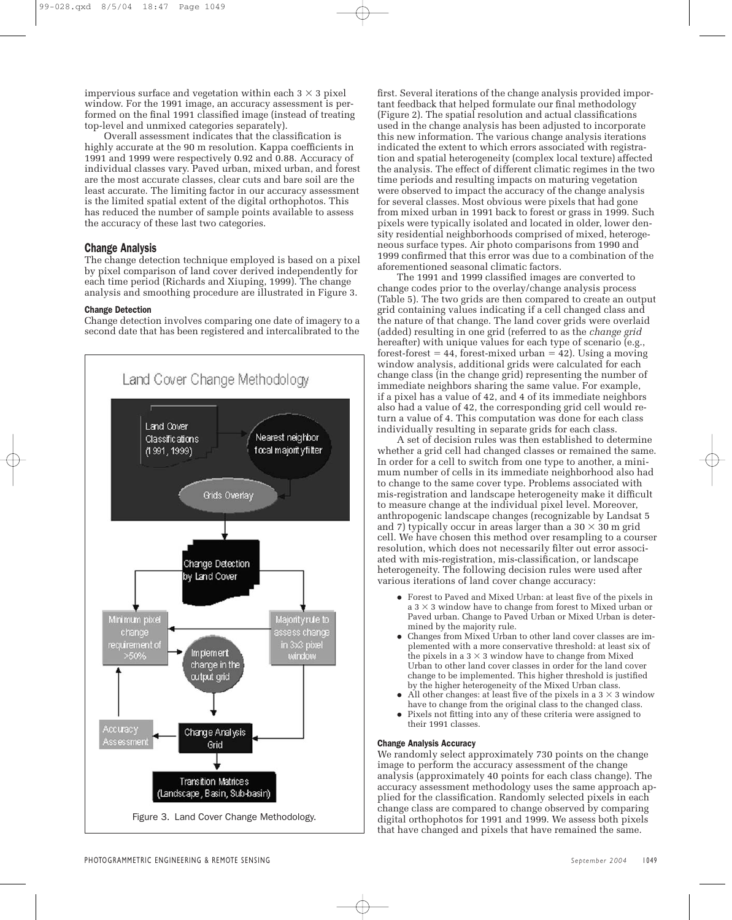impervious surface and vegetation within each  $3 \times 3$  pixel window. For the 1991 image, an accuracy assessment is performed on the final 1991 classified image (instead of treating top-level and unmixed categories separately).

Overall assessment indicates that the classification is highly accurate at the 90 m resolution. Kappa coefficients in 1991 and 1999 were respectively 0.92 and 0.88. Accuracy of individual classes vary. Paved urban, mixed urban, and forest are the most accurate classes, clear cuts and bare soil are the least accurate. The limiting factor in our accuracy assessment is the limited spatial extent of the digital orthophotos. This has reduced the number of sample points available to assess the accuracy of these last two categories.

# Change Analysis

The change detection technique employed is based on a pixel by pixel comparison of land cover derived independently for each time period (Richards and Xiuping, 1999). The change analysis and smoothing procedure are illustrated in Figure 3.

# Change Detection

Change detection involves comparing one date of imagery to a second date that has been registered and intercalibrated to the



first. Several iterations of the change analysis provided important feedback that helped formulate our final methodology (Figure 2). The spatial resolution and actual classifications used in the change analysis has been adjusted to incorporate this new information. The various change analysis iterations indicated the extent to which errors associated with registration and spatial heterogeneity (complex local texture) affected the analysis. The effect of different climatic regimes in the two time periods and resulting impacts on maturing vegetation were observed to impact the accuracy of the change analysis for several classes. Most obvious were pixels that had gone from mixed urban in 1991 back to forest or grass in 1999. Such pixels were typically isolated and located in older, lower density residential neighborhoods comprised of mixed, heterogeneous surface types. Air photo comparisons from 1990 and 1999 confirmed that this error was due to a combination of the aforementioned seasonal climatic factors.

The 1991 and 1999 classified images are converted to change codes prior to the overlay/change analysis process (Table 5). The two grids are then compared to create an output grid containing values indicating if a cell changed class and the nature of that change. The land cover grids were overlaid (added) resulting in one grid (referred to as the *change grid* hereafter) with unique values for each type of scenario (e.g., forest-forest  $= 44$ , forest-mixed urban  $= 42$ ). Using a moving window analysis, additional grids were calculated for each change class (in the change grid) representing the number of immediate neighbors sharing the same value. For example, if a pixel has a value of 42, and 4 of its immediate neighbors also had a value of 42, the corresponding grid cell would return a value of 4. This computation was done for each class individually resulting in separate grids for each class.

A set of decision rules was then established to determine whether a grid cell had changed classes or remained the same. In order for a cell to switch from one type to another, a minimum number of cells in its immediate neighborhood also had to change to the same cover type. Problems associated with mis-registration and landscape heterogeneity make it difficult to measure change at the individual pixel level. Moreover, anthropogenic landscape changes (recognizable by Landsat 5 and 7) typically occur in areas larger than a  $30 \times 30$  m grid cell. We have chosen this method over resampling to a courser resolution, which does not necessarily filter out error associated with mis-registration, mis-classification, or landscape heterogeneity. The following decision rules were used after various iterations of land cover change accuracy:

- Forest to Paved and Mixed Urban: at least five of the pixels in a  $3 \times 3$  window have to change from forest to Mixed urban or Paved urban. Change to Paved Urban or Mixed Urban is determined by the majority rule.
- Changes from Mixed Urban to other land cover classes are implemented with a more conservative threshold: at least six of the pixels in a  $3 \times 3$  window have to change from Mixed Urban to other land cover classes in order for the land cover change to be implemented. This higher threshold is justified by the higher heterogeneity of the Mixed Urban class.
- All other changes: at least five of the pixels in a  $3 \times 3$  window have to change from the original class to the changed class.
- Pixels not fitting into any of these criteria were assigned to their 1991 classes.

#### Change Analysis Accuracy

We randomly select approximately 730 points on the change image to perform the accuracy assessment of the change analysis (approximately 40 points for each class change). The accuracy assessment methodology uses the same approach applied for the classification. Randomly selected pixels in each change class are compared to change observed by comparing digital orthophotos for 1991 and 1999. We assess both pixels that have changed and pixels that have remained the same.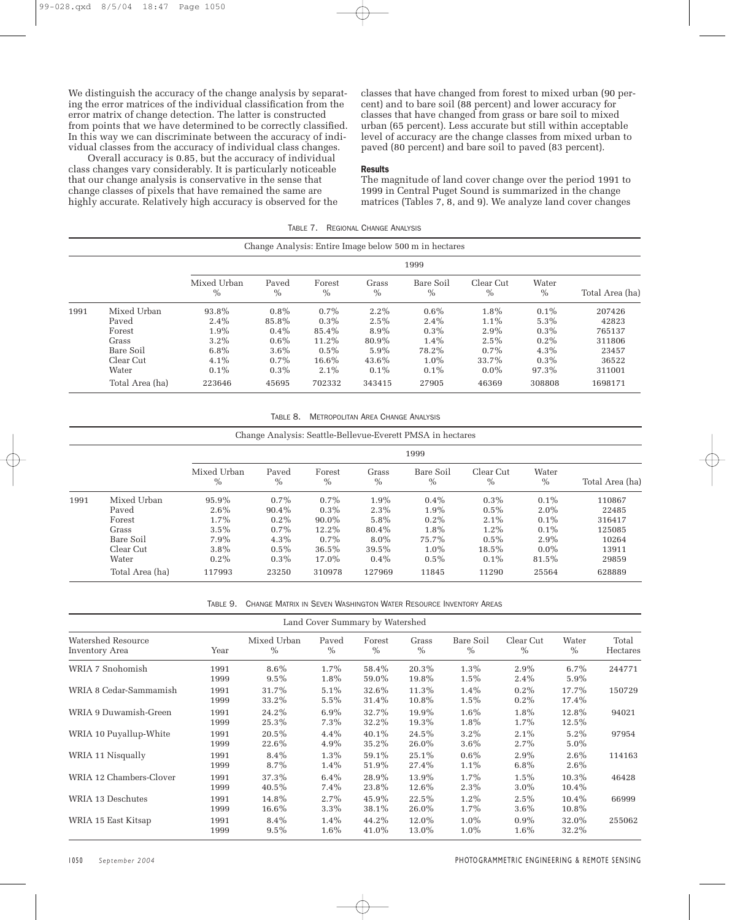We distinguish the accuracy of the change analysis by separating the error matrices of the individual classification from the error matrix of change detection. The latter is constructed from points that we have determined to be correctly classified. In this way we can discriminate between the accuracy of individual classes from the accuracy of individual class changes.

Overall accuracy is 0.85, but the accuracy of individual class changes vary considerably. It is particularly noticeable that our change analysis is conservative in the sense that change classes of pixels that have remained the same are highly accurate. Relatively high accuracy is observed for the classes that have changed from forest to mixed urban (90 percent) and to bare soil (88 percent) and lower accuracy for classes that have changed from grass or bare soil to mixed urban (65 percent). Less accurate but still within acceptable level of accuracy are the change classes from mixed urban to paved (80 percent) and bare soil to paved (83 percent).

# **Results**

The magnitude of land cover change over the period 1991 to 1999 in Central Puget Sound is summarized in the change matrices (Tables 7, 8, and 9). We analyze land cover changes

TABLE 7. REGIONAL CHANGE ANALYSIS

|      | Change Analysis: Entire Image below 500 m in hectares |                     |               |                |               |                   |                   |               |                 |  |  |
|------|-------------------------------------------------------|---------------------|---------------|----------------|---------------|-------------------|-------------------|---------------|-----------------|--|--|
|      |                                                       |                     |               |                |               | 1999              |                   |               |                 |  |  |
|      |                                                       | Mixed Urban<br>$\%$ | Paved<br>$\%$ | Forest<br>$\%$ | Grass<br>$\%$ | Bare Soil<br>$\%$ | Clear Cut<br>$\%$ | Water<br>$\%$ | Total Area (ha) |  |  |
| 1991 | Mixed Urban                                           | 93.8%               | $0.8\%$       | $0.7\%$        | $2.2\%$       | $0.6\%$           | $1.8\%$           | $0.1\%$       | 207426          |  |  |
|      | Paved                                                 | $2.4\%$             | 85.8%         | $0.3\%$        | $2.5\%$       | $2.4\%$           | $1.1\%$           | $5.3\%$       | 42823           |  |  |
|      | Forest                                                | 1.9%                | $0.4\%$       | 85.4%          | 8.9%          | $0.3\%$           | $2.9\%$           | $0.3\%$       | 765137          |  |  |
|      | Grass                                                 | $3.2\%$             | $0.6\%$       | 11.2%          | 80.9%         | $1.4\%$           | $2.5\%$           | $0.2\%$       | 311806          |  |  |
|      | Bare Soil                                             | $6.8\%$             | $3.6\%$       | $0.5\%$        | $5.9\%$       | 78.2%             | $0.7\%$           | $4.3\%$       | 23457           |  |  |
|      | Clear Cut                                             | $4.1\%$             | $0.7\%$       | $16.6\%$       | 43.6%         | $1.0\%$           | 33.7%             | $0.3\%$       | 36522           |  |  |
|      | Water                                                 | $0.1\%$             | $0.3\%$       | $2.1\%$        | $0.1\%$       | $0.1\%$           | $0.0\%$           | 97.3%         | 311001          |  |  |
|      | Total Area (ha)                                       | 223646              | 45695         | 702332         | 343415        | 27905             | 46369             | 308808        | 1698171         |  |  |

TABLE 8. METROPOLITAN AREA CHANGE ANALYSIS

|      | Change Analysis: Seattle-Bellevue-Everett PMSA in hectares                 |                                                                      |                                                                            |                                                                         |                                                                       |                                                                   |                                                                            |                                                                         |                                                                |  |
|------|----------------------------------------------------------------------------|----------------------------------------------------------------------|----------------------------------------------------------------------------|-------------------------------------------------------------------------|-----------------------------------------------------------------------|-------------------------------------------------------------------|----------------------------------------------------------------------------|-------------------------------------------------------------------------|----------------------------------------------------------------|--|
|      |                                                                            |                                                                      |                                                                            |                                                                         |                                                                       | 1999                                                              |                                                                            |                                                                         |                                                                |  |
|      |                                                                            | Mixed Urban<br>$\%$                                                  | Paved<br>$\%$                                                              | Forest<br>$\%$                                                          | Grass<br>$\%$                                                         | Bare Soil<br>$\%$                                                 | Clear Cut<br>$\%$                                                          | Water<br>$\%$                                                           | Total Area (ha)                                                |  |
| 1991 | Mixed Urban<br>Paved<br>Forest<br>Grass<br>Bare Soil<br>Clear Cut<br>Water | 95.9%<br>$2.6\%$<br>$1.7\%$<br>$3.5\%$<br>7.9%<br>$3.8\%$<br>$0.2\%$ | $0.7\%$<br>$90.4\%$<br>$0.2\%$<br>$0.7\%$<br>$4.3\%$<br>$0.5\%$<br>$0.3\%$ | $0.7\%$<br>$0.3\%$<br>$90.0\%$<br>12.2%<br>$0.7\%$<br>$36.5\%$<br>17.0% | $1.9\%$<br>$2.3\%$<br>$5.8\%$<br>80.4%<br>$8.0\%$<br>39.5%<br>$0.4\%$ | $0.4\%$<br>1.9%<br>$0.2\%$<br>1.8%<br>75.7%<br>$1.0\%$<br>$0.5\%$ | $0.3\%$<br>$0.5\%$<br>$2.1\%$<br>$1.2\%$<br>$0.5\%$<br>$18.5\%$<br>$0.1\%$ | $0.1\%$<br>$2.0\%$<br>$0.1\%$<br>$0.1\%$<br>$2.9\%$<br>$0.0\%$<br>81.5% | 110867<br>22485<br>316417<br>125085<br>10264<br>13911<br>29859 |  |
|      | Total Area (ha)                                                            | 117993                                                               | 23250                                                                      | 310978                                                                  | 127969                                                                | 11845                                                             | 11290                                                                      | 25564                                                                   | 628889                                                         |  |

TABLE 9. CHANGE MATRIX IN SEVEN WASHINGTON WATER RESOURCE INVENTORY AREAS

|                                             | Land Cover Summary by Watershed |                              |                    |                |                      |                    |                    |                      |                   |
|---------------------------------------------|---------------------------------|------------------------------|--------------------|----------------|----------------------|--------------------|--------------------|----------------------|-------------------|
| Watershed Resource<br><b>Inventory Area</b> | Year                            | Mixed Urban<br>$\frac{0}{0}$ | Payed<br>$\%$      | Forest<br>$\%$ | Grass<br>$\%$        | Bare Soil<br>$\%$  | Clear Cut<br>$\%$  | Water<br>$\%$        | Total<br>Hectares |
| WRIA 7 Snohomish                            | 1991<br>1999                    | $8.6\%$<br>$9.5\%$           | $1.7\%$<br>$1.8\%$ | 58.4%<br>59.0% | 20.3%<br>19.8%       | $1.3\%$<br>$1.5\%$ | $2.9\%$<br>$2.4\%$ | $6.7\%$<br>$5.9\%$   | 244771            |
| WRIA 8 Cedar-Sammamish                      | 1991<br>1999                    | 31.7%<br>33.2%               | $5.1\%$<br>$5.5\%$ | 32.6%<br>31.4% | $11.3\%$<br>$10.8\%$ | $1.4\%$<br>$1.5\%$ | $0.2\%$<br>$0.2\%$ | 17.7%<br>$17.4\%$    | 150729            |
| WRIA 9 Duwamish-Green                       | 1991<br>1999                    | 24.2%<br>25.3%               | $6.9\%$<br>$7.3\%$ | 32.7%<br>32.2% | 19.9%<br>$19.3\%$    | $1.6\%$<br>1.8%    | $1.8\%$<br>$1.7\%$ | 12.8%<br>$12.5\%$    | 94021             |
| WRIA 10 Puyallup-White                      | 1991<br>1999                    | $20.5\%$<br>22.6%            | $4.4\%$<br>$4.9\%$ | 40.1%<br>35.2% | 24.5%<br>$26.0\%$    | $3.2\%$<br>$3.6\%$ | 2.1%<br>$2.7\%$    | $5.2\%$<br>$5.0\%$   | 97954             |
| WRIA 11 Nisqually                           | 1991<br>1999                    | $8.4\%$<br>$8.7\%$           | $1.3\%$<br>$1.4\%$ | 59.1%<br>51.9% | 25.1%<br>$27.4\%$    | $0.6\%$<br>$1.1\%$ | 2.9%<br>$6.8\%$    | $2.6\%$<br>$2.6\%$   | 114163            |
| WRIA 12 Chambers-Clover                     | 1991<br>1999                    | 37.3%<br>$40.5\%$            | $6.4\%$<br>$7.4\%$ | 28.9%<br>23.8% | 13.9%<br>12.6%       | $1.7\%$<br>$2.3\%$ | $1.5\%$<br>$3.0\%$ | $10.3\%$<br>$10.4\%$ | 46428             |
| WRIA 13 Deschutes                           | 1991<br>1999                    | 14.8%<br>16.6%               | $2.7\%$<br>$3.3\%$ | 45.9%<br>38.1% | 22.5%<br>$26.0\%$    | $1.2\%$<br>$1.7\%$ | $2.5\%$<br>$3.6\%$ | $10.4\%$<br>$10.8\%$ | 66999             |
| WRIA 15 East Kitsap                         | 1991<br>1999                    | $8.4\%$<br>$9.5\%$           | $1.4\%$<br>$1.6\%$ | 44.2%<br>41.0% | 12.0%<br>13.0%       | $1.0\%$<br>$1.0\%$ | $0.9\%$<br>$1.6\%$ | 32.0%<br>32.2%       | 255062            |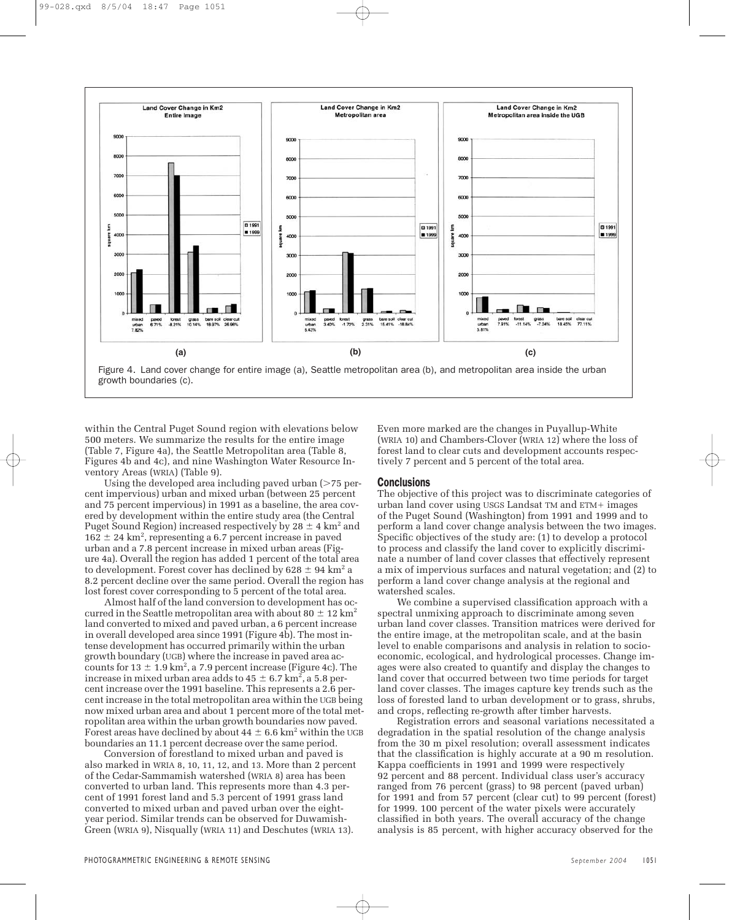

growth boundaries (c).

within the Central Puget Sound region with elevations below 500 meters. We summarize the results for the entire image (Table 7, Figure 4a), the Seattle Metropolitan area (Table 8, Figures 4b and 4c), and nine Washington Water Resource Inventory Areas (WRIA) (Table 9).

Using the developed area including paved urban  $($  >  $75$  percent impervious) urban and mixed urban (between 25 percent and 75 percent impervious) in 1991 as a baseline, the area covered by development within the entire study area (the Central Puget Sound Region) increased respectively by  $28 \pm 4 \text{ km}^2$  and  $162 \pm 24$  km<sup>2</sup>, representing a 6.7 percent increase in paved urban and a 7.8 percent increase in mixed urban areas (Figure 4a). Overall the region has added 1 percent of the total area to development. Forest cover has declined by  $628 \pm 94$  km<sup>2</sup> a 8.2 percent decline over the same period. Overall the region has lost forest cover corresponding to 5 percent of the total area.

Almost half of the land conversion to development has occurred in the Seattle metropolitan area with about 80  $\pm$  12 km<sup>2</sup> land converted to mixed and paved urban, a 6 percent increase in overall developed area since 1991 (Figure 4b). The most intense development has occurred primarily within the urban growth boundary (UGB) where the increase in paved area accounts for  $13 \pm 1.9$  km<sup>2</sup>, a 7.9 percent increase (Figure 4c). The increase in mixed urban area adds to 45  $\pm$  6.7 km², a 5.8 percent increase over the 1991 baseline. This represents a 2.6 percent increase in the total metropolitan area within the UGB being now mixed urban area and about 1 percent more of the total metropolitan area within the urban growth boundaries now paved. Forest areas have declined by about 44  $\pm$  6.6 km<sup>2</sup> within the UGB boundaries an 11.1 percent decrease over the same period.

Conversion of forestland to mixed urban and paved is also marked in WRIA 8, 10, 11, 12, and 13. More than 2 percent of the Cedar-Sammamish watershed (WRIA 8) area has been converted to urban land. This represents more than 4.3 percent of 1991 forest land and 5.3 percent of 1991 grass land converted to mixed urban and paved urban over the eightyear period. Similar trends can be observed for Duwamish-Green (WRIA 9), Nisqually (WRIA 11) and Deschutes (WRIA 13).

Even more marked are the changes in Puyallup-White (WRIA 10) and Chambers-Clover (WRIA 12) where the loss of forest land to clear cuts and development accounts respectively 7 percent and 5 percent of the total area.

# Conclusions

The objective of this project was to discriminate categories of urban land cover using USGS Landsat TM and ETM+ images of the Puget Sound (Washington) from 1991 and 1999 and to perform a land cover change analysis between the two images. Specific objectives of the study are: (1) to develop a protocol to process and classify the land cover to explicitly discriminate a number of land cover classes that effectively represent a mix of impervious surfaces and natural vegetation; and (2) to perform a land cover change analysis at the regional and watershed scales.

We combine a supervised classification approach with a spectral unmixing approach to discriminate among seven urban land cover classes. Transition matrices were derived for the entire image, at the metropolitan scale, and at the basin level to enable comparisons and analysis in relation to socioeconomic, ecological, and hydrological processes. Change images were also created to quantify and display the changes to land cover that occurred between two time periods for target land cover classes. The images capture key trends such as the loss of forested land to urban development or to grass, shrubs, and crops, reflecting re-growth after timber harvests.

Registration errors and seasonal variations necessitated a degradation in the spatial resolution of the change analysis from the 30 m pixel resolution; overall assessment indicates that the classification is highly accurate at a 90 m resolution. Kappa coefficients in 1991 and 1999 were respectively 92 percent and 88 percent. Individual class user's accuracy ranged from 76 percent (grass) to 98 percent (paved urban) for 1991 and from 57 percent (clear cut) to 99 percent (forest) for 1999. 100 percent of the water pixels were accurately classified in both years. The overall accuracy of the change analysis is 85 percent, with higher accuracy observed for the